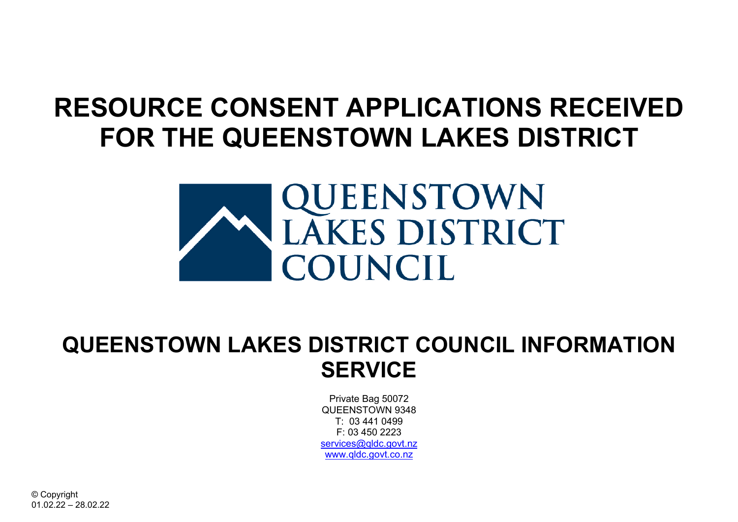## **RESOURCE CONSENT APPLICATIONS RECEIVED FOR THE QUEENSTOWN LAKES DISTRICT**



## **QUEENSTOWN LAKES DISTRICT COUNCIL INFORMATION SERVICE**

Private Bag 50072 QUEENSTOWN 9348 T: 03 441 0499  $F: 03450223$ services@gldc.govt.nz [www.qldc.govt.co.nz](http://www.qldc.govt.co.nz/)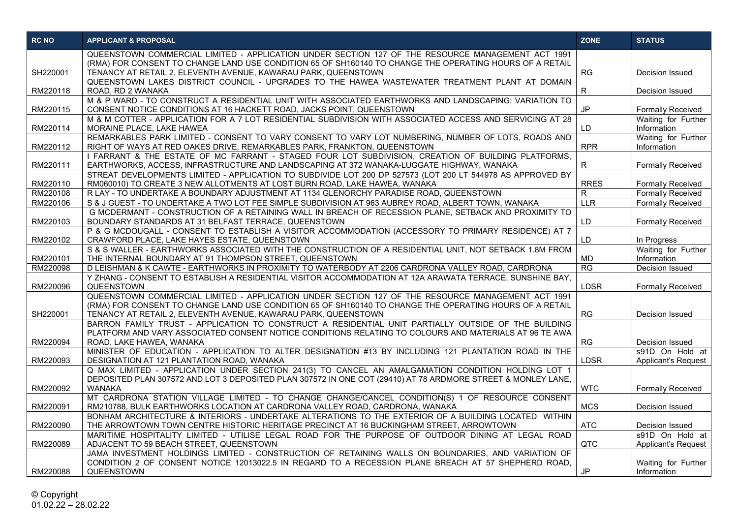| QUEENSTOWN COMMERCIAL LIMITED - APPLICATION UNDER SECTION 127 OF THE RESOURCE MANAGEMENT ACT 1991<br>(RMA) FOR CONSENT TO CHANGE LAND USE CONDITION 65 OF SH160140 TO CHANGE THE OPERATING HOURS OF A RETAIL<br>SH220001<br><b>RG</b><br>TENANCY AT RETAIL 2, ELEVENTH AVENUE, KAWARAU PARK, QUEENSTOWN<br>Decision Issued<br>QUEENSTOWN LAKES DISTRICT COUNCIL - UPGRADES TO THE HAWEA WASTEWATER TREATMENT PLANT AT DOMAIN<br>RM220118<br>ROAD, RD 2 WANAKA<br>R<br>Decision Issued<br>M & P WARD - TO CONSTRUCT A RESIDENTIAL UNIT WITH ASSOCIATED EARTHWORKS AND LANDSCAPING; VARIATION TO<br><b>JP</b><br>RM220115<br>CONSENT NOTICE CONDITIONS AT 16 HACKETT ROAD, JACKS POINT, QUEENSTOWN<br><b>Formally Received</b><br>M & M COTTER - APPLICATION FOR A 7 LOT RESIDENTIAL SUBDIVISION WITH ASSOCIATED ACCESS AND SERVICING AT 28<br>Waiting for Further<br>RM220114<br>MORAINE PLACE, LAKE HAWEA<br>LD<br>Information<br>REMARKABLES PARK LIMITED - CONSENT TO VARY CONSENT TO VARY LOT NUMBERING, NUMBER OF LOTS, ROADS AND<br>Waiting for Further<br><b>RPR</b><br>RM220112<br>RIGHT OF WAYS AT RED OAKES DRIVE, REMARKABLES PARK, FRANKTON, QUEENSTOWN<br>Information<br>I FARRANT & THE ESTATE OF MC FARRANT - STAGED FOUR LOT SUBDIVISION, CREATION OF BUILDING PLATFORMS.<br>RM220111<br>EARTHWORKS, ACCESS, INFRASTRUCTURE AND LANDSCAPING AT 372 WANAKA-LUGGATE HIGHWAY, WANAKA<br><b>Formally Received</b><br>R<br>STREAT DEVELOPMENTS LIMITED - APPLICATION TO SUBDIVIDE LOT 200 DP 527573 (LOT 200 LT 544978 AS APPROVED BY<br><b>RRES</b><br>RM220110<br>RM060010) TO CREATE 3 NEW ALLOTMENTS AT LOST BURN ROAD, LAKE HAWEA, WANAKA<br><b>Formally Received</b><br>RM220108<br>R LAY - TO UNDERTAKE A BOUNDARY ADJUSTMENT AT 1134 GLENORCHY PARADISE ROAD, QUEENSTOWN<br>$\mathsf{R}$<br>Formally Received<br>RM220106<br>LLR<br>S & J GUEST - TO UNDERTAKE A TWO LOT FEE SIMPLE SUBDIVISION AT 963 AUBREY ROAD, ALBERT TOWN, WANAKA<br><b>Formally Received</b><br>G MCDERMANT - CONSTRUCTION OF A RETAINING WALL IN BREACH OF RECESSION PLANE, SETBACK AND PROXIMITY TO<br>LD<br>RM220103<br>BOUNDARY STANDARDS AT 31 BELFAST TERRACE, QUEENSTOWN<br><b>Formally Received</b><br>P & G MCDOUGALL - CONSENT TO ESTABLISH A VISITOR ACCOMMODATION (ACCESSORY TO PRIMARY RESIDENCE) AT 7<br>RM220102<br>CRAWFORD PLACE, LAKE HAYES ESTATE, QUEENSTOWN<br>LD.<br>In Progress<br>S & S WALLER - EARTHWORKS ASSOCIATED WITH THE CONSTRUCTION OF A RESIDENTIAL UNIT, NOT SETBACK 1.8M FROM<br>Waiting for Further<br>RM220101<br>THE INTERNAL BOUNDARY AT 91 THOMPSON STREET, QUEENSTOWN<br>Information<br>MD<br>D LEISHMAN & K CAWTE - EARTHWORKS IN PROXIMITY TO WATERBODY AT 2206 CARDRONA VALLEY ROAD, CARDRONA<br>RG<br>RM220098<br><b>Decision Issued</b><br>Y ZHANG - CONSENT TO ESTABLISH A RESIDENTIAL VISITOR ACCOMMODATION AT 12A ARAWATA TERRACE, SUNSHINE BAY,<br>QUEENSTOWN<br>RM220096<br><b>LDSR</b><br><b>Formally Received</b><br>QUEENSTOWN COMMERCIAL LIMITED - APPLICATION UNDER SECTION 127 OF THE RESOURCE MANAGEMENT ACT 1991<br>(RMA) FOR CONSENT TO CHANGE LAND USE CONDITION 65 OF SH160140 TO CHANGE THE OPERATING HOURS OF A RETAIL<br><b>RG</b><br>SH220001<br>TENANCY AT RETAIL 2, ELEVENTH AVENUE, KAWARAU PARK, QUEENSTOWN<br>Decision Issued<br>BARRON FAMILY TRUST - APPLICATION TO CONSTRUCT A RESIDENTIAL UNIT PARTIALLY OUTSIDE OF THE BUILDING<br>PLATFORM AND VARY ASSOCIATED CONSENT NOTICE CONDITIONS RELATING TO COLOURS AND MATERIALS AT 96 TE AWA<br><b>RG</b><br>RM220094<br>ROAD, LAKE HAWEA, WANAKA<br>Decision Issued<br>MINISTER OF EDUCATION - APPLICATION TO ALTER DESIGNATION #13 BY INCLUDING 121 PLANTATION ROAD IN THE<br>s91D On Hold at<br>LDSR<br>RM220093<br>DESIGNATION AT 121 PLANTATION ROAD, WANAKA<br><b>Applicant's Request</b><br>Q MAX LIMITED - APPLICATION UNDER SECTION 241(3) TO CANCEL AN AMALGAMATION CONDITION HOLDING LOT 1<br>DEPOSITED PLAN 307572 AND LOT 3 DEPOSITED PLAN 307572 IN ONE COT (29410) AT 78 ARDMORE STREET & MONLEY LANE,<br><b>WTC</b><br>RM220092<br><b>WANAKA</b><br><b>Formally Received</b><br>MT CARDRONA STATION VILLAGE LIMITED - TO CHANGE CHANGE/CANCEL CONDITION(S) 1 OF RESOURCE CONSENT<br><b>MCS</b><br>RM220091<br>RM210788, BULK EARTHWORKS LOCATION AT CARDRONA VALLEY ROAD, CARDRONA, WANAKA<br>Decision Issued<br>BONHAM ARCHITECTURE & INTERIORS - UNDERTAKE ALTERATIONS TO THE EXTERIOR OF A BUILDING LOCATED WITHIN<br><b>ATC</b><br>RM220090<br>THE ARROWTOWN TOWN CENTRE HISTORIC HERITAGE PRECINCT AT 16 BUCKINGHAM STREET, ARROWTOWN<br>Decision Issued<br>MARITIME HOSPITALITY LIMITED - UTILISE LEGAL ROAD FOR THE PURPOSE OF OUTDOOR DINING AT LEGAL ROAD<br>s91D On Hold at<br><b>QTC</b><br>ADJACENT TO 59 BEACH STREET, QUEENSTOWN<br><b>Applicant's Request</b><br>RM220089<br>JAMA INVESTMENT HOLDINGS LIMITED - CONSTRUCTION OF RETAINING WALLS ON BOUNDARIES, AND VARIATION OF<br>CONDITION 2 OF CONSENT NOTICE 12013022.5 IN REGARD TO A RECESSION PLANE BREACH AT 57 SHEPHERD ROAD,<br>Waiting for Further | <b>RC NO</b> | <b>APPLICANT &amp; PROPOSAL</b> | <b>ZONE</b> | <b>STATUS</b> |
|----------------------------------------------------------------------------------------------------------------------------------------------------------------------------------------------------------------------------------------------------------------------------------------------------------------------------------------------------------------------------------------------------------------------------------------------------------------------------------------------------------------------------------------------------------------------------------------------------------------------------------------------------------------------------------------------------------------------------------------------------------------------------------------------------------------------------------------------------------------------------------------------------------------------------------------------------------------------------------------------------------------------------------------------------------------------------------------------------------------------------------------------------------------------------------------------------------------------------------------------------------------------------------------------------------------------------------------------------------------------------------------------------------------------------------------------------------------------------------------------------------------------------------------------------------------------------------------------------------------------------------------------------------------------------------------------------------------------------------------------------------------------------------------------------------------------------------------------------------------------------------------------------------------------------------------------------------------------------------------------------------------------------------------------------------------------------------------------------------------------------------------------------------------------------------------------------------------------------------------------------------------------------------------------------------------------------------------------------------------------------------------------------------------------------------------------------------------------------------------------------------------------------------------------------------------------------------------------------------------------------------------------------------------------------------------------------------------------------------------------------------------------------------------------------------------------------------------------------------------------------------------------------------------------------------------------------------------------------------------------------------------------------------------------------------------------------------------------------------------------------------------------------------------------------------------------------------------------------------------------------------------------------------------------------------------------------------------------------------------------------------------------------------------------------------------------------------------------------------------------------------------------------------------------------------------------------------------------------------------------------------------------------------------------------------------------------------------------------------------------------------------------------------------------------------------------------------------------------------------------------------------------------------------------------------------------------------------------------------------------------------------------------------------------------------------------------------------------------------------------------------------------------------------------------------------------------------------------------------------------------------------------------------------------------------------------------------------------------------------------------------------------------------------------------------------------------------------------------------------------------------------------------------------------------------------------------------------------------------------------------------------------------------------------------------------------------------------------------------------------------------------------------------------------------------------------------------------------------------------------------------------------------------------------------------------------------------------------------------------------------------------------------------------------------------------|--------------|---------------------------------|-------------|---------------|
|                                                                                                                                                                                                                                                                                                                                                                                                                                                                                                                                                                                                                                                                                                                                                                                                                                                                                                                                                                                                                                                                                                                                                                                                                                                                                                                                                                                                                                                                                                                                                                                                                                                                                                                                                                                                                                                                                                                                                                                                                                                                                                                                                                                                                                                                                                                                                                                                                                                                                                                                                                                                                                                                                                                                                                                                                                                                                                                                                                                                                                                                                                                                                                                                                                                                                                                                                                                                                                                                                                                                                                                                                                                                                                                                                                                                                                                                                                                                                                                                                                                                                                                                                                                                                                                                                                                                                                                                                                                                                                                                                                                                                                                                                                                                                                                                                                                                                                                                                                                                                                                                |              |                                 |             |               |
|                                                                                                                                                                                                                                                                                                                                                                                                                                                                                                                                                                                                                                                                                                                                                                                                                                                                                                                                                                                                                                                                                                                                                                                                                                                                                                                                                                                                                                                                                                                                                                                                                                                                                                                                                                                                                                                                                                                                                                                                                                                                                                                                                                                                                                                                                                                                                                                                                                                                                                                                                                                                                                                                                                                                                                                                                                                                                                                                                                                                                                                                                                                                                                                                                                                                                                                                                                                                                                                                                                                                                                                                                                                                                                                                                                                                                                                                                                                                                                                                                                                                                                                                                                                                                                                                                                                                                                                                                                                                                                                                                                                                                                                                                                                                                                                                                                                                                                                                                                                                                                                                |              |                                 |             |               |
|                                                                                                                                                                                                                                                                                                                                                                                                                                                                                                                                                                                                                                                                                                                                                                                                                                                                                                                                                                                                                                                                                                                                                                                                                                                                                                                                                                                                                                                                                                                                                                                                                                                                                                                                                                                                                                                                                                                                                                                                                                                                                                                                                                                                                                                                                                                                                                                                                                                                                                                                                                                                                                                                                                                                                                                                                                                                                                                                                                                                                                                                                                                                                                                                                                                                                                                                                                                                                                                                                                                                                                                                                                                                                                                                                                                                                                                                                                                                                                                                                                                                                                                                                                                                                                                                                                                                                                                                                                                                                                                                                                                                                                                                                                                                                                                                                                                                                                                                                                                                                                                                |              |                                 |             |               |
|                                                                                                                                                                                                                                                                                                                                                                                                                                                                                                                                                                                                                                                                                                                                                                                                                                                                                                                                                                                                                                                                                                                                                                                                                                                                                                                                                                                                                                                                                                                                                                                                                                                                                                                                                                                                                                                                                                                                                                                                                                                                                                                                                                                                                                                                                                                                                                                                                                                                                                                                                                                                                                                                                                                                                                                                                                                                                                                                                                                                                                                                                                                                                                                                                                                                                                                                                                                                                                                                                                                                                                                                                                                                                                                                                                                                                                                                                                                                                                                                                                                                                                                                                                                                                                                                                                                                                                                                                                                                                                                                                                                                                                                                                                                                                                                                                                                                                                                                                                                                                                                                |              |                                 |             |               |
|                                                                                                                                                                                                                                                                                                                                                                                                                                                                                                                                                                                                                                                                                                                                                                                                                                                                                                                                                                                                                                                                                                                                                                                                                                                                                                                                                                                                                                                                                                                                                                                                                                                                                                                                                                                                                                                                                                                                                                                                                                                                                                                                                                                                                                                                                                                                                                                                                                                                                                                                                                                                                                                                                                                                                                                                                                                                                                                                                                                                                                                                                                                                                                                                                                                                                                                                                                                                                                                                                                                                                                                                                                                                                                                                                                                                                                                                                                                                                                                                                                                                                                                                                                                                                                                                                                                                                                                                                                                                                                                                                                                                                                                                                                                                                                                                                                                                                                                                                                                                                                                                |              |                                 |             |               |
|                                                                                                                                                                                                                                                                                                                                                                                                                                                                                                                                                                                                                                                                                                                                                                                                                                                                                                                                                                                                                                                                                                                                                                                                                                                                                                                                                                                                                                                                                                                                                                                                                                                                                                                                                                                                                                                                                                                                                                                                                                                                                                                                                                                                                                                                                                                                                                                                                                                                                                                                                                                                                                                                                                                                                                                                                                                                                                                                                                                                                                                                                                                                                                                                                                                                                                                                                                                                                                                                                                                                                                                                                                                                                                                                                                                                                                                                                                                                                                                                                                                                                                                                                                                                                                                                                                                                                                                                                                                                                                                                                                                                                                                                                                                                                                                                                                                                                                                                                                                                                                                                |              |                                 |             |               |
|                                                                                                                                                                                                                                                                                                                                                                                                                                                                                                                                                                                                                                                                                                                                                                                                                                                                                                                                                                                                                                                                                                                                                                                                                                                                                                                                                                                                                                                                                                                                                                                                                                                                                                                                                                                                                                                                                                                                                                                                                                                                                                                                                                                                                                                                                                                                                                                                                                                                                                                                                                                                                                                                                                                                                                                                                                                                                                                                                                                                                                                                                                                                                                                                                                                                                                                                                                                                                                                                                                                                                                                                                                                                                                                                                                                                                                                                                                                                                                                                                                                                                                                                                                                                                                                                                                                                                                                                                                                                                                                                                                                                                                                                                                                                                                                                                                                                                                                                                                                                                                                                |              |                                 |             |               |
|                                                                                                                                                                                                                                                                                                                                                                                                                                                                                                                                                                                                                                                                                                                                                                                                                                                                                                                                                                                                                                                                                                                                                                                                                                                                                                                                                                                                                                                                                                                                                                                                                                                                                                                                                                                                                                                                                                                                                                                                                                                                                                                                                                                                                                                                                                                                                                                                                                                                                                                                                                                                                                                                                                                                                                                                                                                                                                                                                                                                                                                                                                                                                                                                                                                                                                                                                                                                                                                                                                                                                                                                                                                                                                                                                                                                                                                                                                                                                                                                                                                                                                                                                                                                                                                                                                                                                                                                                                                                                                                                                                                                                                                                                                                                                                                                                                                                                                                                                                                                                                                                |              |                                 |             |               |
|                                                                                                                                                                                                                                                                                                                                                                                                                                                                                                                                                                                                                                                                                                                                                                                                                                                                                                                                                                                                                                                                                                                                                                                                                                                                                                                                                                                                                                                                                                                                                                                                                                                                                                                                                                                                                                                                                                                                                                                                                                                                                                                                                                                                                                                                                                                                                                                                                                                                                                                                                                                                                                                                                                                                                                                                                                                                                                                                                                                                                                                                                                                                                                                                                                                                                                                                                                                                                                                                                                                                                                                                                                                                                                                                                                                                                                                                                                                                                                                                                                                                                                                                                                                                                                                                                                                                                                                                                                                                                                                                                                                                                                                                                                                                                                                                                                                                                                                                                                                                                                                                |              |                                 |             |               |
|                                                                                                                                                                                                                                                                                                                                                                                                                                                                                                                                                                                                                                                                                                                                                                                                                                                                                                                                                                                                                                                                                                                                                                                                                                                                                                                                                                                                                                                                                                                                                                                                                                                                                                                                                                                                                                                                                                                                                                                                                                                                                                                                                                                                                                                                                                                                                                                                                                                                                                                                                                                                                                                                                                                                                                                                                                                                                                                                                                                                                                                                                                                                                                                                                                                                                                                                                                                                                                                                                                                                                                                                                                                                                                                                                                                                                                                                                                                                                                                                                                                                                                                                                                                                                                                                                                                                                                                                                                                                                                                                                                                                                                                                                                                                                                                                                                                                                                                                                                                                                                                                |              |                                 |             |               |
|                                                                                                                                                                                                                                                                                                                                                                                                                                                                                                                                                                                                                                                                                                                                                                                                                                                                                                                                                                                                                                                                                                                                                                                                                                                                                                                                                                                                                                                                                                                                                                                                                                                                                                                                                                                                                                                                                                                                                                                                                                                                                                                                                                                                                                                                                                                                                                                                                                                                                                                                                                                                                                                                                                                                                                                                                                                                                                                                                                                                                                                                                                                                                                                                                                                                                                                                                                                                                                                                                                                                                                                                                                                                                                                                                                                                                                                                                                                                                                                                                                                                                                                                                                                                                                                                                                                                                                                                                                                                                                                                                                                                                                                                                                                                                                                                                                                                                                                                                                                                                                                                |              |                                 |             |               |
|                                                                                                                                                                                                                                                                                                                                                                                                                                                                                                                                                                                                                                                                                                                                                                                                                                                                                                                                                                                                                                                                                                                                                                                                                                                                                                                                                                                                                                                                                                                                                                                                                                                                                                                                                                                                                                                                                                                                                                                                                                                                                                                                                                                                                                                                                                                                                                                                                                                                                                                                                                                                                                                                                                                                                                                                                                                                                                                                                                                                                                                                                                                                                                                                                                                                                                                                                                                                                                                                                                                                                                                                                                                                                                                                                                                                                                                                                                                                                                                                                                                                                                                                                                                                                                                                                                                                                                                                                                                                                                                                                                                                                                                                                                                                                                                                                                                                                                                                                                                                                                                                |              |                                 |             |               |
|                                                                                                                                                                                                                                                                                                                                                                                                                                                                                                                                                                                                                                                                                                                                                                                                                                                                                                                                                                                                                                                                                                                                                                                                                                                                                                                                                                                                                                                                                                                                                                                                                                                                                                                                                                                                                                                                                                                                                                                                                                                                                                                                                                                                                                                                                                                                                                                                                                                                                                                                                                                                                                                                                                                                                                                                                                                                                                                                                                                                                                                                                                                                                                                                                                                                                                                                                                                                                                                                                                                                                                                                                                                                                                                                                                                                                                                                                                                                                                                                                                                                                                                                                                                                                                                                                                                                                                                                                                                                                                                                                                                                                                                                                                                                                                                                                                                                                                                                                                                                                                                                |              |                                 |             |               |
|                                                                                                                                                                                                                                                                                                                                                                                                                                                                                                                                                                                                                                                                                                                                                                                                                                                                                                                                                                                                                                                                                                                                                                                                                                                                                                                                                                                                                                                                                                                                                                                                                                                                                                                                                                                                                                                                                                                                                                                                                                                                                                                                                                                                                                                                                                                                                                                                                                                                                                                                                                                                                                                                                                                                                                                                                                                                                                                                                                                                                                                                                                                                                                                                                                                                                                                                                                                                                                                                                                                                                                                                                                                                                                                                                                                                                                                                                                                                                                                                                                                                                                                                                                                                                                                                                                                                                                                                                                                                                                                                                                                                                                                                                                                                                                                                                                                                                                                                                                                                                                                                |              |                                 |             |               |
|                                                                                                                                                                                                                                                                                                                                                                                                                                                                                                                                                                                                                                                                                                                                                                                                                                                                                                                                                                                                                                                                                                                                                                                                                                                                                                                                                                                                                                                                                                                                                                                                                                                                                                                                                                                                                                                                                                                                                                                                                                                                                                                                                                                                                                                                                                                                                                                                                                                                                                                                                                                                                                                                                                                                                                                                                                                                                                                                                                                                                                                                                                                                                                                                                                                                                                                                                                                                                                                                                                                                                                                                                                                                                                                                                                                                                                                                                                                                                                                                                                                                                                                                                                                                                                                                                                                                                                                                                                                                                                                                                                                                                                                                                                                                                                                                                                                                                                                                                                                                                                                                |              |                                 |             |               |
|                                                                                                                                                                                                                                                                                                                                                                                                                                                                                                                                                                                                                                                                                                                                                                                                                                                                                                                                                                                                                                                                                                                                                                                                                                                                                                                                                                                                                                                                                                                                                                                                                                                                                                                                                                                                                                                                                                                                                                                                                                                                                                                                                                                                                                                                                                                                                                                                                                                                                                                                                                                                                                                                                                                                                                                                                                                                                                                                                                                                                                                                                                                                                                                                                                                                                                                                                                                                                                                                                                                                                                                                                                                                                                                                                                                                                                                                                                                                                                                                                                                                                                                                                                                                                                                                                                                                                                                                                                                                                                                                                                                                                                                                                                                                                                                                                                                                                                                                                                                                                                                                |              |                                 |             |               |
|                                                                                                                                                                                                                                                                                                                                                                                                                                                                                                                                                                                                                                                                                                                                                                                                                                                                                                                                                                                                                                                                                                                                                                                                                                                                                                                                                                                                                                                                                                                                                                                                                                                                                                                                                                                                                                                                                                                                                                                                                                                                                                                                                                                                                                                                                                                                                                                                                                                                                                                                                                                                                                                                                                                                                                                                                                                                                                                                                                                                                                                                                                                                                                                                                                                                                                                                                                                                                                                                                                                                                                                                                                                                                                                                                                                                                                                                                                                                                                                                                                                                                                                                                                                                                                                                                                                                                                                                                                                                                                                                                                                                                                                                                                                                                                                                                                                                                                                                                                                                                                                                |              |                                 |             |               |
|                                                                                                                                                                                                                                                                                                                                                                                                                                                                                                                                                                                                                                                                                                                                                                                                                                                                                                                                                                                                                                                                                                                                                                                                                                                                                                                                                                                                                                                                                                                                                                                                                                                                                                                                                                                                                                                                                                                                                                                                                                                                                                                                                                                                                                                                                                                                                                                                                                                                                                                                                                                                                                                                                                                                                                                                                                                                                                                                                                                                                                                                                                                                                                                                                                                                                                                                                                                                                                                                                                                                                                                                                                                                                                                                                                                                                                                                                                                                                                                                                                                                                                                                                                                                                                                                                                                                                                                                                                                                                                                                                                                                                                                                                                                                                                                                                                                                                                                                                                                                                                                                |              |                                 |             |               |
|                                                                                                                                                                                                                                                                                                                                                                                                                                                                                                                                                                                                                                                                                                                                                                                                                                                                                                                                                                                                                                                                                                                                                                                                                                                                                                                                                                                                                                                                                                                                                                                                                                                                                                                                                                                                                                                                                                                                                                                                                                                                                                                                                                                                                                                                                                                                                                                                                                                                                                                                                                                                                                                                                                                                                                                                                                                                                                                                                                                                                                                                                                                                                                                                                                                                                                                                                                                                                                                                                                                                                                                                                                                                                                                                                                                                                                                                                                                                                                                                                                                                                                                                                                                                                                                                                                                                                                                                                                                                                                                                                                                                                                                                                                                                                                                                                                                                                                                                                                                                                                                                |              |                                 |             |               |
|                                                                                                                                                                                                                                                                                                                                                                                                                                                                                                                                                                                                                                                                                                                                                                                                                                                                                                                                                                                                                                                                                                                                                                                                                                                                                                                                                                                                                                                                                                                                                                                                                                                                                                                                                                                                                                                                                                                                                                                                                                                                                                                                                                                                                                                                                                                                                                                                                                                                                                                                                                                                                                                                                                                                                                                                                                                                                                                                                                                                                                                                                                                                                                                                                                                                                                                                                                                                                                                                                                                                                                                                                                                                                                                                                                                                                                                                                                                                                                                                                                                                                                                                                                                                                                                                                                                                                                                                                                                                                                                                                                                                                                                                                                                                                                                                                                                                                                                                                                                                                                                                |              |                                 |             |               |
|                                                                                                                                                                                                                                                                                                                                                                                                                                                                                                                                                                                                                                                                                                                                                                                                                                                                                                                                                                                                                                                                                                                                                                                                                                                                                                                                                                                                                                                                                                                                                                                                                                                                                                                                                                                                                                                                                                                                                                                                                                                                                                                                                                                                                                                                                                                                                                                                                                                                                                                                                                                                                                                                                                                                                                                                                                                                                                                                                                                                                                                                                                                                                                                                                                                                                                                                                                                                                                                                                                                                                                                                                                                                                                                                                                                                                                                                                                                                                                                                                                                                                                                                                                                                                                                                                                                                                                                                                                                                                                                                                                                                                                                                                                                                                                                                                                                                                                                                                                                                                                                                |              |                                 |             |               |
|                                                                                                                                                                                                                                                                                                                                                                                                                                                                                                                                                                                                                                                                                                                                                                                                                                                                                                                                                                                                                                                                                                                                                                                                                                                                                                                                                                                                                                                                                                                                                                                                                                                                                                                                                                                                                                                                                                                                                                                                                                                                                                                                                                                                                                                                                                                                                                                                                                                                                                                                                                                                                                                                                                                                                                                                                                                                                                                                                                                                                                                                                                                                                                                                                                                                                                                                                                                                                                                                                                                                                                                                                                                                                                                                                                                                                                                                                                                                                                                                                                                                                                                                                                                                                                                                                                                                                                                                                                                                                                                                                                                                                                                                                                                                                                                                                                                                                                                                                                                                                                                                |              |                                 |             |               |
|                                                                                                                                                                                                                                                                                                                                                                                                                                                                                                                                                                                                                                                                                                                                                                                                                                                                                                                                                                                                                                                                                                                                                                                                                                                                                                                                                                                                                                                                                                                                                                                                                                                                                                                                                                                                                                                                                                                                                                                                                                                                                                                                                                                                                                                                                                                                                                                                                                                                                                                                                                                                                                                                                                                                                                                                                                                                                                                                                                                                                                                                                                                                                                                                                                                                                                                                                                                                                                                                                                                                                                                                                                                                                                                                                                                                                                                                                                                                                                                                                                                                                                                                                                                                                                                                                                                                                                                                                                                                                                                                                                                                                                                                                                                                                                                                                                                                                                                                                                                                                                                                |              |                                 |             |               |
|                                                                                                                                                                                                                                                                                                                                                                                                                                                                                                                                                                                                                                                                                                                                                                                                                                                                                                                                                                                                                                                                                                                                                                                                                                                                                                                                                                                                                                                                                                                                                                                                                                                                                                                                                                                                                                                                                                                                                                                                                                                                                                                                                                                                                                                                                                                                                                                                                                                                                                                                                                                                                                                                                                                                                                                                                                                                                                                                                                                                                                                                                                                                                                                                                                                                                                                                                                                                                                                                                                                                                                                                                                                                                                                                                                                                                                                                                                                                                                                                                                                                                                                                                                                                                                                                                                                                                                                                                                                                                                                                                                                                                                                                                                                                                                                                                                                                                                                                                                                                                                                                |              |                                 |             |               |
|                                                                                                                                                                                                                                                                                                                                                                                                                                                                                                                                                                                                                                                                                                                                                                                                                                                                                                                                                                                                                                                                                                                                                                                                                                                                                                                                                                                                                                                                                                                                                                                                                                                                                                                                                                                                                                                                                                                                                                                                                                                                                                                                                                                                                                                                                                                                                                                                                                                                                                                                                                                                                                                                                                                                                                                                                                                                                                                                                                                                                                                                                                                                                                                                                                                                                                                                                                                                                                                                                                                                                                                                                                                                                                                                                                                                                                                                                                                                                                                                                                                                                                                                                                                                                                                                                                                                                                                                                                                                                                                                                                                                                                                                                                                                                                                                                                                                                                                                                                                                                                                                |              |                                 |             |               |
|                                                                                                                                                                                                                                                                                                                                                                                                                                                                                                                                                                                                                                                                                                                                                                                                                                                                                                                                                                                                                                                                                                                                                                                                                                                                                                                                                                                                                                                                                                                                                                                                                                                                                                                                                                                                                                                                                                                                                                                                                                                                                                                                                                                                                                                                                                                                                                                                                                                                                                                                                                                                                                                                                                                                                                                                                                                                                                                                                                                                                                                                                                                                                                                                                                                                                                                                                                                                                                                                                                                                                                                                                                                                                                                                                                                                                                                                                                                                                                                                                                                                                                                                                                                                                                                                                                                                                                                                                                                                                                                                                                                                                                                                                                                                                                                                                                                                                                                                                                                                                                                                |              |                                 |             |               |
|                                                                                                                                                                                                                                                                                                                                                                                                                                                                                                                                                                                                                                                                                                                                                                                                                                                                                                                                                                                                                                                                                                                                                                                                                                                                                                                                                                                                                                                                                                                                                                                                                                                                                                                                                                                                                                                                                                                                                                                                                                                                                                                                                                                                                                                                                                                                                                                                                                                                                                                                                                                                                                                                                                                                                                                                                                                                                                                                                                                                                                                                                                                                                                                                                                                                                                                                                                                                                                                                                                                                                                                                                                                                                                                                                                                                                                                                                                                                                                                                                                                                                                                                                                                                                                                                                                                                                                                                                                                                                                                                                                                                                                                                                                                                                                                                                                                                                                                                                                                                                                                                |              |                                 |             |               |
|                                                                                                                                                                                                                                                                                                                                                                                                                                                                                                                                                                                                                                                                                                                                                                                                                                                                                                                                                                                                                                                                                                                                                                                                                                                                                                                                                                                                                                                                                                                                                                                                                                                                                                                                                                                                                                                                                                                                                                                                                                                                                                                                                                                                                                                                                                                                                                                                                                                                                                                                                                                                                                                                                                                                                                                                                                                                                                                                                                                                                                                                                                                                                                                                                                                                                                                                                                                                                                                                                                                                                                                                                                                                                                                                                                                                                                                                                                                                                                                                                                                                                                                                                                                                                                                                                                                                                                                                                                                                                                                                                                                                                                                                                                                                                                                                                                                                                                                                                                                                                                                                |              |                                 |             |               |
|                                                                                                                                                                                                                                                                                                                                                                                                                                                                                                                                                                                                                                                                                                                                                                                                                                                                                                                                                                                                                                                                                                                                                                                                                                                                                                                                                                                                                                                                                                                                                                                                                                                                                                                                                                                                                                                                                                                                                                                                                                                                                                                                                                                                                                                                                                                                                                                                                                                                                                                                                                                                                                                                                                                                                                                                                                                                                                                                                                                                                                                                                                                                                                                                                                                                                                                                                                                                                                                                                                                                                                                                                                                                                                                                                                                                                                                                                                                                                                                                                                                                                                                                                                                                                                                                                                                                                                                                                                                                                                                                                                                                                                                                                                                                                                                                                                                                                                                                                                                                                                                                |              |                                 |             |               |
|                                                                                                                                                                                                                                                                                                                                                                                                                                                                                                                                                                                                                                                                                                                                                                                                                                                                                                                                                                                                                                                                                                                                                                                                                                                                                                                                                                                                                                                                                                                                                                                                                                                                                                                                                                                                                                                                                                                                                                                                                                                                                                                                                                                                                                                                                                                                                                                                                                                                                                                                                                                                                                                                                                                                                                                                                                                                                                                                                                                                                                                                                                                                                                                                                                                                                                                                                                                                                                                                                                                                                                                                                                                                                                                                                                                                                                                                                                                                                                                                                                                                                                                                                                                                                                                                                                                                                                                                                                                                                                                                                                                                                                                                                                                                                                                                                                                                                                                                                                                                                                                                |              |                                 |             |               |
|                                                                                                                                                                                                                                                                                                                                                                                                                                                                                                                                                                                                                                                                                                                                                                                                                                                                                                                                                                                                                                                                                                                                                                                                                                                                                                                                                                                                                                                                                                                                                                                                                                                                                                                                                                                                                                                                                                                                                                                                                                                                                                                                                                                                                                                                                                                                                                                                                                                                                                                                                                                                                                                                                                                                                                                                                                                                                                                                                                                                                                                                                                                                                                                                                                                                                                                                                                                                                                                                                                                                                                                                                                                                                                                                                                                                                                                                                                                                                                                                                                                                                                                                                                                                                                                                                                                                                                                                                                                                                                                                                                                                                                                                                                                                                                                                                                                                                                                                                                                                                                                                |              |                                 |             |               |
|                                                                                                                                                                                                                                                                                                                                                                                                                                                                                                                                                                                                                                                                                                                                                                                                                                                                                                                                                                                                                                                                                                                                                                                                                                                                                                                                                                                                                                                                                                                                                                                                                                                                                                                                                                                                                                                                                                                                                                                                                                                                                                                                                                                                                                                                                                                                                                                                                                                                                                                                                                                                                                                                                                                                                                                                                                                                                                                                                                                                                                                                                                                                                                                                                                                                                                                                                                                                                                                                                                                                                                                                                                                                                                                                                                                                                                                                                                                                                                                                                                                                                                                                                                                                                                                                                                                                                                                                                                                                                                                                                                                                                                                                                                                                                                                                                                                                                                                                                                                                                                                                |              |                                 |             |               |
|                                                                                                                                                                                                                                                                                                                                                                                                                                                                                                                                                                                                                                                                                                                                                                                                                                                                                                                                                                                                                                                                                                                                                                                                                                                                                                                                                                                                                                                                                                                                                                                                                                                                                                                                                                                                                                                                                                                                                                                                                                                                                                                                                                                                                                                                                                                                                                                                                                                                                                                                                                                                                                                                                                                                                                                                                                                                                                                                                                                                                                                                                                                                                                                                                                                                                                                                                                                                                                                                                                                                                                                                                                                                                                                                                                                                                                                                                                                                                                                                                                                                                                                                                                                                                                                                                                                                                                                                                                                                                                                                                                                                                                                                                                                                                                                                                                                                                                                                                                                                                                                                |              |                                 |             |               |
|                                                                                                                                                                                                                                                                                                                                                                                                                                                                                                                                                                                                                                                                                                                                                                                                                                                                                                                                                                                                                                                                                                                                                                                                                                                                                                                                                                                                                                                                                                                                                                                                                                                                                                                                                                                                                                                                                                                                                                                                                                                                                                                                                                                                                                                                                                                                                                                                                                                                                                                                                                                                                                                                                                                                                                                                                                                                                                                                                                                                                                                                                                                                                                                                                                                                                                                                                                                                                                                                                                                                                                                                                                                                                                                                                                                                                                                                                                                                                                                                                                                                                                                                                                                                                                                                                                                                                                                                                                                                                                                                                                                                                                                                                                                                                                                                                                                                                                                                                                                                                                                                |              |                                 |             |               |
|                                                                                                                                                                                                                                                                                                                                                                                                                                                                                                                                                                                                                                                                                                                                                                                                                                                                                                                                                                                                                                                                                                                                                                                                                                                                                                                                                                                                                                                                                                                                                                                                                                                                                                                                                                                                                                                                                                                                                                                                                                                                                                                                                                                                                                                                                                                                                                                                                                                                                                                                                                                                                                                                                                                                                                                                                                                                                                                                                                                                                                                                                                                                                                                                                                                                                                                                                                                                                                                                                                                                                                                                                                                                                                                                                                                                                                                                                                                                                                                                                                                                                                                                                                                                                                                                                                                                                                                                                                                                                                                                                                                                                                                                                                                                                                                                                                                                                                                                                                                                                                                                |              |                                 |             |               |
|                                                                                                                                                                                                                                                                                                                                                                                                                                                                                                                                                                                                                                                                                                                                                                                                                                                                                                                                                                                                                                                                                                                                                                                                                                                                                                                                                                                                                                                                                                                                                                                                                                                                                                                                                                                                                                                                                                                                                                                                                                                                                                                                                                                                                                                                                                                                                                                                                                                                                                                                                                                                                                                                                                                                                                                                                                                                                                                                                                                                                                                                                                                                                                                                                                                                                                                                                                                                                                                                                                                                                                                                                                                                                                                                                                                                                                                                                                                                                                                                                                                                                                                                                                                                                                                                                                                                                                                                                                                                                                                                                                                                                                                                                                                                                                                                                                                                                                                                                                                                                                                                |              |                                 |             |               |
|                                                                                                                                                                                                                                                                                                                                                                                                                                                                                                                                                                                                                                                                                                                                                                                                                                                                                                                                                                                                                                                                                                                                                                                                                                                                                                                                                                                                                                                                                                                                                                                                                                                                                                                                                                                                                                                                                                                                                                                                                                                                                                                                                                                                                                                                                                                                                                                                                                                                                                                                                                                                                                                                                                                                                                                                                                                                                                                                                                                                                                                                                                                                                                                                                                                                                                                                                                                                                                                                                                                                                                                                                                                                                                                                                                                                                                                                                                                                                                                                                                                                                                                                                                                                                                                                                                                                                                                                                                                                                                                                                                                                                                                                                                                                                                                                                                                                                                                                                                                                                                                                |              |                                 |             |               |
|                                                                                                                                                                                                                                                                                                                                                                                                                                                                                                                                                                                                                                                                                                                                                                                                                                                                                                                                                                                                                                                                                                                                                                                                                                                                                                                                                                                                                                                                                                                                                                                                                                                                                                                                                                                                                                                                                                                                                                                                                                                                                                                                                                                                                                                                                                                                                                                                                                                                                                                                                                                                                                                                                                                                                                                                                                                                                                                                                                                                                                                                                                                                                                                                                                                                                                                                                                                                                                                                                                                                                                                                                                                                                                                                                                                                                                                                                                                                                                                                                                                                                                                                                                                                                                                                                                                                                                                                                                                                                                                                                                                                                                                                                                                                                                                                                                                                                                                                                                                                                                                                |              |                                 |             |               |
|                                                                                                                                                                                                                                                                                                                                                                                                                                                                                                                                                                                                                                                                                                                                                                                                                                                                                                                                                                                                                                                                                                                                                                                                                                                                                                                                                                                                                                                                                                                                                                                                                                                                                                                                                                                                                                                                                                                                                                                                                                                                                                                                                                                                                                                                                                                                                                                                                                                                                                                                                                                                                                                                                                                                                                                                                                                                                                                                                                                                                                                                                                                                                                                                                                                                                                                                                                                                                                                                                                                                                                                                                                                                                                                                                                                                                                                                                                                                                                                                                                                                                                                                                                                                                                                                                                                                                                                                                                                                                                                                                                                                                                                                                                                                                                                                                                                                                                                                                                                                                                                                | RM220088     | QUEENSTOWN                      | JP          | Information   |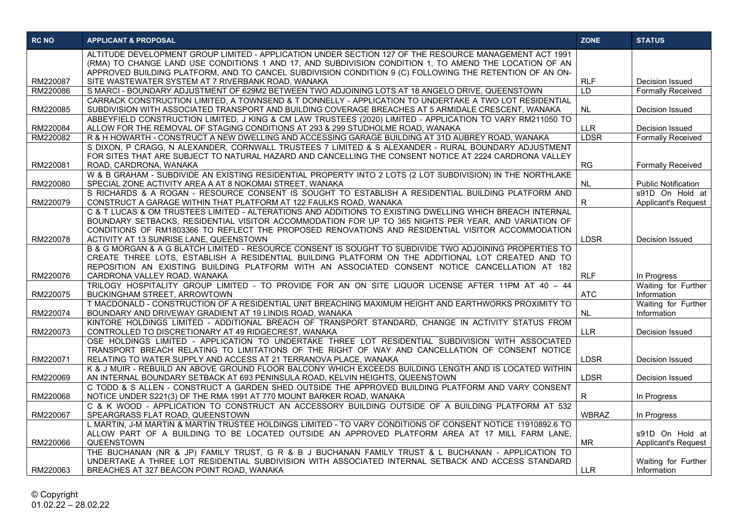| <b>RC NO</b>         | <b>APPLICANT &amp; PROPOSAL</b>                                                                                                                                                                                                                                                                                             | <b>ZONE</b>               | <b>STATUS</b>                               |
|----------------------|-----------------------------------------------------------------------------------------------------------------------------------------------------------------------------------------------------------------------------------------------------------------------------------------------------------------------------|---------------------------|---------------------------------------------|
|                      | ALTITUDE DEVELOPMENT GROUP LIMITED - APPLICATION UNDER SECTION 127 OF THE RESOURCE MANAGEMENT ACT 1991<br>(RMA) TO CHANGE LAND USE CONDITIONS 1 AND 17, AND SUBDIVISION CONDITION 1, TO AMEND THE LOCATION OF AN<br>APPROVED BUILDING PLATFORM, AND TO CANCEL SUBDIVISION CONDITION 9 (C) FOLLOWING THE RETENTION OF AN ON- |                           |                                             |
| RM220087             | SITE WASTEWATER SYSTEM AT 7 RIVERBANK ROAD, WANAKA                                                                                                                                                                                                                                                                          | <b>RLF</b>                | Decision Issued                             |
| RM220086             | S MARCI - BOUNDARY ADJUSTMENT OF 629M2 BETWEEN TWO ADJOINING LOTS AT 18 ANGELO DRIVE, QUEENSTOWN                                                                                                                                                                                                                            | $\overline{LD}$           | <b>Formally Received</b>                    |
|                      | CARRACK CONSTRUCTION LIMITED, A TOWNSEND & T DONNELLY - APPLICATION TO UNDERTAKE A TWO LOT RESIDENTIAL                                                                                                                                                                                                                      |                           |                                             |
| RM220085             | SUBDIVISION WITH ASSOCIATED TRANSPORT AND BUILDING COVERAGE BREACHES AT 5 ARMIDALE CRESCENT, WANAKA                                                                                                                                                                                                                         | <b>NL</b>                 | Decision Issued                             |
|                      | ABBEYFIELD CONSTRUCTION LIMITED, J KING & CM LAW TRUSTEES (2020) LIMITED - APPLICATION TO VARY RM211050 TO                                                                                                                                                                                                                  |                           |                                             |
| RM220084<br>RM220082 | ALLOW FOR THE REMOVAL OF STAGING CONDITIONS AT 293 & 299 STUDHOLME ROAD, WANAKA<br>R & H HOWARTH - CONSTRUCT A NEW DWELLING AND ACCESSING GARAGE BUILDING AT 31D AUBREY ROAD, WANAKA                                                                                                                                        | <b>LLR</b><br><b>LDSR</b> | Decision Issued<br><b>Formally Received</b> |
|                      | S DIXON, P CRAGG, N ALEXANDER, CORNWALL TRUSTEES 7 LIMITED & S ALEXANDER - RURAL BOUNDARY ADJUSTMENT                                                                                                                                                                                                                        |                           |                                             |
|                      | FOR SITES THAT ARE SUBJECT TO NATURAL HAZARD AND CANCELLING THE CONSENT NOTICE AT 2224 CARDRONA VALLEY                                                                                                                                                                                                                      |                           |                                             |
| RM220081             | ROAD, CARDRONA, WANAKA                                                                                                                                                                                                                                                                                                      | RG                        | <b>Formally Received</b>                    |
|                      | W & B GRAHAM - SUBDIVIDE AN EXISTING RESIDENTIAL PROPERTY INTO 2 LOTS (2 LOT SUBDIVISION) IN THE NORTHLAKE                                                                                                                                                                                                                  |                           |                                             |
| RM220080             | SPECIAL ZONE ACTIVITY AREA A AT 8 NOKOMAI STREET, WANAKA                                                                                                                                                                                                                                                                    | NL                        | <b>Public Notification</b>                  |
|                      | S RICHARDS & A ROGAN - RESOURCE CONSENT IS SOUGHT TO ESTABLISH A RESIDENTIAL BUILDING PLATFORM AND                                                                                                                                                                                                                          |                           | s91D On Hold at                             |
| RM220079             | CONSTRUCT A GARAGE WITHIN THAT PLATFORM AT 122 FAULKS ROAD, WANAKA                                                                                                                                                                                                                                                          | R                         | <b>Applicant's Request</b>                  |
|                      | C & T LUCAS & OM TRUSTEES LIMITED - ALTERATIONS AND ADDITIONS TO EXISTING DWELLING WHICH BREACH INTERNAL                                                                                                                                                                                                                    |                           |                                             |
|                      | BOUNDARY SETBACKS, RESIDENTIAL VISITOR ACCOMMODATION FOR UP TO 365 NIGHTS PER YEAR, AND VARIATION OF<br>CONDITIONS OF RM1803366 TO REFLECT THE PROPOSED RENOVATIONS AND RESIDENTIAL VISITOR ACCOMMODATION                                                                                                                   |                           |                                             |
| RM220078             | ACTIVITY AT 13 SUNRISE LANE, QUEENSTOWN                                                                                                                                                                                                                                                                                     | <b>LDSR</b>               | Decision Issued                             |
|                      | B & G MORGAN & A G BLATCH LIMITED - RESOURCE CONSENT IS SOUGHT TO SUBDIVIDE TWO ADJOINING PROPERTIES TO                                                                                                                                                                                                                     |                           |                                             |
|                      | CREATE THREE LOTS, ESTABLISH A RESIDENTIAL BUILDING PLATFORM ON THE ADDITIONAL LOT CREATED AND TO                                                                                                                                                                                                                           |                           |                                             |
|                      | REPOSITION AN EXISTING BUILDING PLATFORM WITH AN ASSOCIATED CONSENT NOTICE CANCELLATION AT 182                                                                                                                                                                                                                              |                           |                                             |
| RM220076             | CARDRONA VALLEY ROAD, WANAKA                                                                                                                                                                                                                                                                                                | <b>RLF</b>                | In Progress                                 |
|                      | TRILOGY HOSPITALITY GROUP LIMITED - TO PROVIDE FOR AN ON SITE LIQUOR LICENSE AFTER 11PM AT 40 - 44                                                                                                                                                                                                                          |                           | Waiting for Further                         |
| RM220075             | <b>BUCKINGHAM STREET, ARROWTOWN</b>                                                                                                                                                                                                                                                                                         | <b>ATC</b>                | Information                                 |
|                      | T MACDONALD - CONSTRUCTION OF A RESIDENTIAL UNIT BREACHING MAXIMUM HEIGHT AND EARTHWORKS PROXIMITY TO                                                                                                                                                                                                                       |                           | Waiting for Further                         |
| RM220074             | BOUNDARY AND DRIVEWAY GRADIENT AT 19 LINDIS ROAD, WANAKA<br>KINTORE HOLDINGS LIMITED - ADDITIONAL BREACH OF TRANSPORT STANDARD, CHANGE IN ACTIVITY STATUS FROM                                                                                                                                                              | NL                        | Information                                 |
| RM220073             | CONTROLLED TO DISCRETIONARY AT 49 RIDGECREST, WANAKA                                                                                                                                                                                                                                                                        | <b>LLR</b>                | Decision Issued                             |
|                      | OSE HOLDINGS LIMITED - APPLICATION TO UNDERTAKE THREE LOT RESIDENTIAL SUBDIVISION WITH ASSOCIATED                                                                                                                                                                                                                           |                           |                                             |
|                      | TRANSPORT BREACH RELATING TO LIMITATIONS OF THE RIGHT OF WAY AND CANCELLATION OF CONSENT NOTICE                                                                                                                                                                                                                             |                           |                                             |
| RM220071             | RELATING TO WATER SUPPLY AND ACCESS AT 21 TERRANOVA PLACE, WANAKA                                                                                                                                                                                                                                                           | <b>LDSR</b>               | Decision Issued                             |
|                      | K & J MUIR - REBUILD AN ABOVE GROUND FLOOR BALCONY WHICH EXCEEDS BUILDING LENGTH AND IS LOCATED WITHIN                                                                                                                                                                                                                      |                           |                                             |
| RM220069             | AN INTERNAL BOUNDARY SETBACK AT 693 PENINSULA ROAD, KELVIN HEIGHTS, QUEENSTOWN                                                                                                                                                                                                                                              | <b>LDSR</b>               | Decision Issued                             |
|                      | C TODD & S ALLEN - CONSTRUCT A GARDEN SHED OUTSIDE THE APPROVED BUILDING PLATFORM AND VARY CONSENT                                                                                                                                                                                                                          |                           |                                             |
| RM220068             | NOTICE UNDER S221(3) OF THE RMA 1991 AT 770 MOUNT BARKER ROAD, WANAKA<br>C & K WOOD - APPLICATION TO CONSTRUCT AN ACCESSORY BUILDING OUTSIDE OF A BUILDING PLATFORM AT 532                                                                                                                                                  | $\mathsf{R}$              | In Progress                                 |
| RM220067             | SPEARGRASS FLAT ROAD, QUEENSTOWN                                                                                                                                                                                                                                                                                            | <b>WBRAZ</b>              | In Progress                                 |
|                      | L MARTIN, J-M MARTIN & MARTIN TRUSTEE HOLDINGS LIMITED - TO VARY CONDITIONS OF CONSENT NOTICE 11910892.6 TO                                                                                                                                                                                                                 |                           |                                             |
|                      | ALLOW PART OF A BUILDING TO BE LOCATED OUTSIDE AN APPROVED PLATFORM AREA AT 17 MILL FARM LANE,                                                                                                                                                                                                                              |                           | s91D On Hold at                             |
| RM220066             | QUEENSTOWN                                                                                                                                                                                                                                                                                                                  | <b>MR</b>                 | <b>Applicant's Request</b>                  |
|                      | THE BUCHANAN (NR & JP) FAMILY TRUST, G R & B J BUCHANAN FAMILY TRUST & L BUCHANAN - APPLICATION TO                                                                                                                                                                                                                          |                           |                                             |
|                      | UNDERTAKE A THREE LOT RESIDENTIAL SUBDIVISION WITH ASSOCIATED INTERNAL SETBACK AND ACCESS STANDARD                                                                                                                                                                                                                          |                           | Waiting for Further                         |
| RM220063             | BREACHES AT 327 BEACON POINT ROAD, WANAKA                                                                                                                                                                                                                                                                                   | <b>LLR</b>                | Information                                 |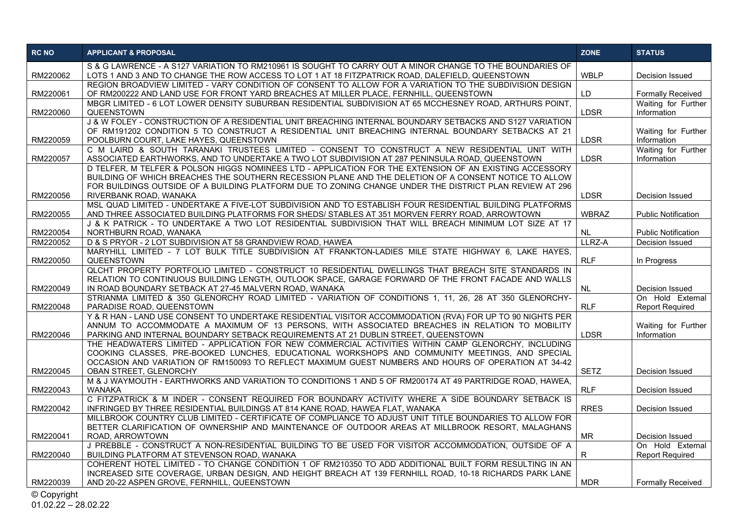| <b>RC NO</b> | <b>APPLICANT &amp; PROPOSAL</b>                                                                                                                                                                                  | <b>ZONE</b>  | <b>STATUS</b>                      |
|--------------|------------------------------------------------------------------------------------------------------------------------------------------------------------------------------------------------------------------|--------------|------------------------------------|
|              | S & G LAWRENCE - A S127 VARIATION TO RM210961 IS SOUGHT TO CARRY OUT A MINOR CHANGE TO THE BOUNDARIES OF                                                                                                         |              |                                    |
| RM220062     | LOTS 1 AND 3 AND TO CHANGE THE ROW ACCESS TO LOT 1 AT 18 FITZPATRICK ROAD, DALEFIELD, QUEENSTOWN<br>REGION BROADVIEW LIMITED - VARY CONDITION OF CONSENT TO ALLOW FOR A VARIATION TO THE SUBDIVISION DESIGN      | <b>WBLP</b>  | Decision Issued                    |
| RM220061     | OF RM200222 AND LAND USE FOR FRONT YARD BREACHES AT MILLER PLACE, FERNHILL, QUEENSTOWN                                                                                                                           | LD           | <b>Formally Received</b>           |
|              | MBGR LIMITED - 6 LOT LOWER DENSITY SUBURBAN RESIDENTIAL SUBDIVISION AT 65 MCCHESNEY ROAD, ARTHURS POINT,                                                                                                         |              | Waiting for Further                |
| RM220060     | <b>QUEENSTOWN</b>                                                                                                                                                                                                | <b>LDSR</b>  | Information                        |
|              | J & W FOLEY - CONSTRUCTION OF A RESIDENTIAL UNIT BREACHING INTERNAL BOUNDARY SETBACKS AND S127 VARIATION<br>OF RM191202 CONDITION 5 TO CONSTRUCT A RESIDENTIAL UNIT BREACHING INTERNAL BOUNDARY SETBACKS AT 21   |              | Waiting for Further                |
| RM220059     | POOLBURN COURT, LAKE HAYES, QUEENSTOWN                                                                                                                                                                           | <b>LDSR</b>  | Information                        |
|              | C M LAIRD & SOUTH TARANAKI TRUSTEES LIMITED - CONSENT TO CONSTRUCT A NEW RESIDENTIAL UNIT WITH                                                                                                                   |              | Waiting for Further                |
| RM220057     | ASSOCIATED EARTHWORKS, AND TO UNDERTAKE A TWO LOT SUBDIVISION AT 287 PENINSULA ROAD, QUEENSTOWN                                                                                                                  | <b>LDSR</b>  | Information                        |
|              | D TELFER, M TELFER & POLSON HIGGS NOMINEES LTD - APPLICATION FOR THE EXTENSION OF AN EXISTING ACCESSORY                                                                                                          |              |                                    |
|              | BUILDING OF WHICH BREACHES THE SOUTHERN RECESSION PLANE AND THE DELETION OF A CONSENT NOTICE TO ALLOW<br>FOR BUILDINGS OUTSIDE OF A BUILDING PLATFORM DUE TO ZONING CHANGE UNDER THE DISTRICT PLAN REVIEW AT 296 |              |                                    |
| RM220056     | RIVERBANK ROAD, WANAKA                                                                                                                                                                                           | <b>LDSR</b>  | Decision Issued                    |
|              | MSL QUAD LIMITED - UNDERTAKE A FIVE-LOT SUBDIVISION AND TO ESTABLISH FOUR RESIDENTIAL BUILDING PLATFORMS                                                                                                         |              |                                    |
| RM220055     | AND THREE ASSOCIATED BUILDING PLATFORMS FOR SHEDS/ STABLES AT 351 MORVEN FERRY ROAD, ARROWTOWN                                                                                                                   | <b>WBRAZ</b> | <b>Public Notification</b>         |
| RM220054     | J & K PATRICK - TO UNDERTAKE A TWO LOT RESIDENTIAL SUBDIVISION THAT WILL BREACH MINIMUM LOT SIZE AT 17<br>NORTHBURN ROAD, WANAKA                                                                                 | NL.          | <b>Public Notification</b>         |
| RM220052     | D & S PRYOR - 2 LOT SUBDIVISION AT 58 GRANDVIEW ROAD, HAWEA                                                                                                                                                      | LLRZ-A       | Decision Issued                    |
|              | MARYHILL LIMITED - 7 LOT BULK TITLE SUBDIVISION AT FRANKTON-LADIES MILE STATE HIGHWAY 6. LAKE HAYES.                                                                                                             |              |                                    |
| RM220050     | <b>QUEENSTOWN</b>                                                                                                                                                                                                | <b>RLF</b>   | In Progress                        |
|              | QLCHT PROPERTY PORTFOLIO LIMITED - CONSTRUCT 10 RESIDENTIAL DWELLINGS THAT BREACH SITE STANDARDS IN                                                                                                              |              |                                    |
| RM220049     | RELATION TO CONTINUOUS BUILDING LENGTH, OUTLOOK SPACE, GARAGE FORWARD OF THE FRONT FACADE AND WALLS<br>IN ROAD BOUNDARY SETBACK AT 27-45 MALVERN ROAD, WANAKA                                                    | <b>NL</b>    | Decision Issued                    |
|              | STRIANMA LIMITED & 350 GLENORCHY ROAD LIMITED - VARIATION OF CONDITIONS 1, 11, 26, 28 AT 350 GLENORCHY-                                                                                                          |              | On Hold External                   |
| RM220048     | PARADISE ROAD, QUEENSTOWN                                                                                                                                                                                        | <b>RLF</b>   | <b>Report Required</b>             |
|              | Y & R HAN - LAND USE CONSENT TO UNDERTAKE RESIDENTIAL VISITOR ACCOMMODATION (RVA) FOR UP TO 90 NIGHTS PER                                                                                                        |              |                                    |
| RM220046     | ANNUM TO ACCOMMODATE A MAXIMUM OF 13 PERSONS, WITH ASSOCIATED BREACHES IN RELATION TO MOBILITY<br>PARKING AND INTERNAL BOUNDARY SETBACK REQUIREMENTS AT 21 DUBLIN STREET, QUEENSTOWN                             | <b>LDSR</b>  | Waiting for Further<br>Information |
|              | THE HEADWATERS LIMITED - APPLICATION FOR NEW COMMERCIAL ACTIVITIES WITHIN CAMP GLENORCHY, INCLUDING                                                                                                              |              |                                    |
|              | COOKING CLASSES. PRE-BOOKED LUNCHES. EDUCATIONAL WORKSHOPS AND COMMUNITY MEETINGS. AND SPECIAL                                                                                                                   |              |                                    |
|              | OCCASION AND VARIATION OF RM150093 TO REFLECT MAXIMUM GUEST NUMBERS AND HOURS OF OPERATION AT 34-42                                                                                                              |              |                                    |
| RM220045     | <b>OBAN STREET, GLENORCHY</b>                                                                                                                                                                                    | <b>SETZ</b>  | Decision Issued                    |
| RM220043     | M & J WAYMOUTH - EARTHWORKS AND VARIATION TO CONDITIONS 1 AND 5 OF RM200174 AT 49 PARTRIDGE ROAD, HAWEA,<br><b>WANAKA</b>                                                                                        | <b>RLF</b>   | Decision Issued                    |
|              | C FITZPATRICK & M INDER - CONSENT REQUIRED FOR BOUNDARY ACTIVITY WHERE A SIDE BOUNDARY SETBACK IS                                                                                                                |              |                                    |
| RM220042     | INFRINGED BY THREE RESIDENTIAL BUILDINGS AT 814 KANE ROAD, HAWEA FLAT, WANAKA                                                                                                                                    | <b>RRES</b>  | Decision Issued                    |
|              | MILLBROOK COUNTRY CLUB LIMITED - CERTIFICATE OF COMPLIANCE TO ADJUST UNIT TITLE BOUNDARIES TO ALLOW FOR                                                                                                          |              |                                    |
| RM220041     | BETTER CLARIFICATION OF OWNERSHIP AND MAINTENANCE OF OUTDOOR AREAS AT MILLBROOK RESORT, MALAGHANS<br>ROAD, ARROWTOWN                                                                                             | <b>MR</b>    | Decision Issued                    |
|              | J PREBBLE - CONSTRUCT A NON-RESIDENTIAL BUILDING TO BE USED FOR VISITOR ACCOMMODATION, OUTSIDE OF A                                                                                                              |              | On Hold External                   |
| RM220040     | BUILDING PLATFORM AT STEVENSON ROAD, WANAKA                                                                                                                                                                      | R.           | <b>Report Required</b>             |
|              | COHERENT HOTEL LIMITED - TO CHANGE CONDITION 1 OF RM210350 TO ADD ADDITIONAL BUILT FORM RESULTING IN AN                                                                                                          |              |                                    |
| RM220039     | INCREASED SITE COVERAGE, URBAN DESIGN, AND HEIGHT BREACH AT 139 FERNHILL ROAD, 10-18 RICHARDS PARK LANE                                                                                                          | <b>MDR</b>   | <b>Formally Received</b>           |
|              | AND 20-22 ASPEN GROVE, FERNHILL, QUEENSTOWN                                                                                                                                                                      |              |                                    |

© Copyright

01.02.22 – 28.02.22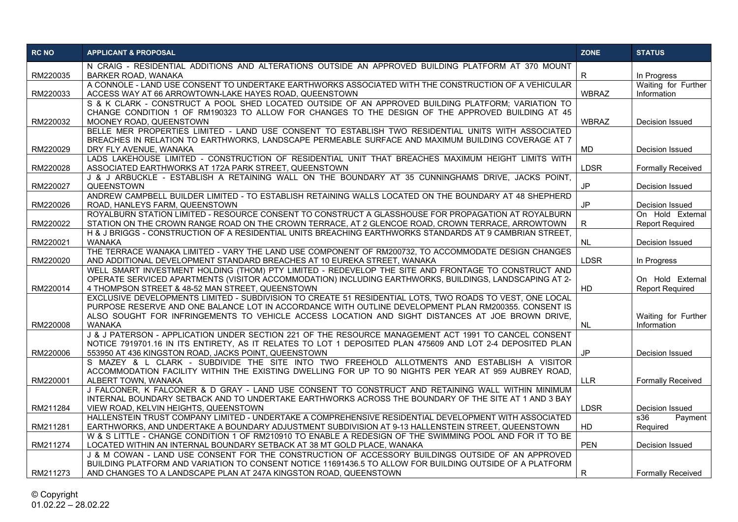| <b>RC NO</b> | <b>APPLICANT &amp; PROPOSAL</b>                                                                                                                                                                        | <b>ZONE</b>   | <b>STATUS</b>                      |
|--------------|--------------------------------------------------------------------------------------------------------------------------------------------------------------------------------------------------------|---------------|------------------------------------|
|              | N CRAIG - RESIDENTIAL ADDITIONS AND ALTERATIONS OUTSIDE AN APPROVED BUILDING PLATFORM AT 370 MOUNT                                                                                                     |               |                                    |
| RM220035     | <b>BARKER ROAD, WANAKA</b>                                                                                                                                                                             | $\mathsf{R}$  | In Progress                        |
| RM220033     | A CONNOLE - LAND USE CONSENT TO UNDERTAKE EARTHWORKS ASSOCIATED WITH THE CONSTRUCTION OF A VEHICULAR<br>ACCESS WAY AT 66 ARROWTOWN-LAKE HAYES ROAD, QUEENSTOWN                                         | <b>WBRAZ</b>  | Waiting for Further<br>Information |
|              | S & K CLARK - CONSTRUCT A POOL SHED LOCATED OUTSIDE OF AN APPROVED BUILDING PLATFORM; VARIATION TO<br>CHANGE CONDITION 1 OF RM190323 TO ALLOW FOR CHANGES TO THE DESIGN OF THE APPROVED BUILDING AT 45 |               |                                    |
| RM220032     | MOONEY ROAD, QUEENSTOWN                                                                                                                                                                                | <b>WBRAZ</b>  | Decision Issued                    |
|              | BELLE MER PROPERTIES LIMITED - LAND USE CONSENT TO ESTABLISH TWO RESIDENTIAL UNITS WITH ASSOCIATED                                                                                                     |               |                                    |
|              | BREACHES IN RELATION TO EARTHWORKS, LANDSCAPE PERMEABLE SURFACE AND MAXIMUM BUILDING COVERAGE AT 7                                                                                                     |               |                                    |
| RM220029     | DRY FLY AVENUE, WANAKA<br>LADS LAKEHOUSE LIMITED - CONSTRUCTION OF RESIDENTIAL UNIT THAT BREACHES MAXIMUM HEIGHT LIMITS WITH                                                                           | <b>MD</b>     | Decision Issued                    |
| RM220028     | ASSOCIATED EARTHWORKS AT 172A PARK STREET, QUEENSTOWN                                                                                                                                                  | <b>LDSR</b>   | <b>Formally Received</b>           |
|              | J & J ARBUCKLE - ESTABLISH A RETAINING WALL ON THE BOUNDARY AT 35 CUNNINGHAMS DRIVE, JACKS POINT,                                                                                                      |               |                                    |
| RM220027     | QUEENSTOWN                                                                                                                                                                                             | $\mathsf{JP}$ | Decision Issued                    |
| RM220026     | ANDREW CAMPBELL BUILDER LIMITED - TO ESTABLISH RETAINING WALLS LOCATED ON THE BOUNDARY AT 48 SHEPHERD<br>ROAD, HANLEYS FARM, QUEENSTOWN                                                                | <b>JP</b>     | Decision Issued                    |
|              | ROYALBURN STATION LIMITED - RESOURCE CONSENT TO CONSTRUCT A GLASSHOUSE FOR PROPAGATION AT ROYALBURN                                                                                                    |               | On Hold External                   |
| RM220022     | STATION ON THE CROWN RANGE ROAD ON THE CROWN TERRACE, AT 2 GLENCOE ROAD, CROWN TERRACE, ARROWTOWN                                                                                                      | R             | <b>Report Required</b>             |
| RM220021     | H & J BRIGGS - CONSTRUCTION OF A RESIDENTIAL UNITS BREACHING EARTHWORKS STANDARDS AT 9 CAMBRIAN STREET,<br>WANAKA                                                                                      | <b>NL</b>     | Decision Issued                    |
|              | THE TERRACE WANAKA LIMITED - VARY THE LAND USE COMPONENT OF RM200732, TO ACCOMMODATE DESIGN CHANGES                                                                                                    |               |                                    |
| RM220020     | AND ADDITIONAL DEVELOPMENT STANDARD BREACHES AT 10 EUREKA STREET, WANAKA                                                                                                                               | <b>LDSR</b>   | In Progress                        |
|              | WELL SMART INVESTMENT HOLDING (THOM) PTY LIMITED - REDEVELOP THE SITE AND FRONTAGE TO CONSTRUCT AND                                                                                                    |               |                                    |
|              | OPERATE SERVICED APARTMENTS (VISITOR ACCOMMODATION) INCLUDING EARTHWORKS, BUILDINGS, LANDSCAPING AT 2-                                                                                                 |               | On Hold External                   |
| RM220014     | 4 THOMPSON STREET & 48-52 MAN STREET, QUEENSTOWN<br>EXCLUSIVE DEVELOPMENTS LIMITED - SUBDIVISION TO CREATE 51 RESIDENTIAL LOTS, TWO ROADS TO VEST, ONE LOCAL                                           | HD            | <b>Report Required</b>             |
|              | PURPOSE RESERVE AND ONE BALANCE LOT IN ACCORDANCE WITH OUTLINE DEVELOPMENT PLAN RM200355. CONSENT IS                                                                                                   |               |                                    |
|              | ALSO SOUGHT FOR INFRINGEMENTS TO VEHICLE ACCESS LOCATION AND SIGHT DISTANCES AT JOE BROWN DRIVE.                                                                                                       |               | Waiting for Further                |
| RM220008     | <b>WANAKA</b>                                                                                                                                                                                          | <b>NL</b>     | Information                        |
|              | J & J PATERSON - APPLICATION UNDER SECTION 221 OF THE RESOURCE MANAGEMENT ACT 1991 TO CANCEL CONSENT                                                                                                   |               |                                    |
|              | NOTICE 7919701.16 IN ITS ENTIRETY, AS IT RELATES TO LOT 1 DEPOSITED PLAN 475609 AND LOT 2-4 DEPOSITED PLAN                                                                                             |               |                                    |
| RM220006     | 553950 AT 436 KINGSTON ROAD, JACKS POINT, QUEENSTOWN                                                                                                                                                   | <b>JP</b>     | Decision Issued                    |
|              | S MAZEY & L CLARK - SUBDIVIDE THE SITE INTO TWO FREEHOLD ALLOTMENTS AND ESTABLISH A VISITOR<br>ACCOMMODATION FACILITY WITHIN THE EXISTING DWELLING FOR UP TO 90 NIGHTS PER YEAR AT 959 AUBREY ROAD,    |               |                                    |
| RM220001     | ALBERT TOWN, WANAKA                                                                                                                                                                                    | <b>LLR</b>    | <b>Formally Received</b>           |
|              | J FALCONER, K FALCONER & D GRAY - LAND USE CONSENT TO CONSTRUCT AND RETAINING WALL WITHIN MINIMUM                                                                                                      |               |                                    |
|              | INTERNAL BOUNDARY SETBACK AND TO UNDERTAKE EARTHWORKS ACROSS THE BOUNDARY OF THE SITE AT 1 AND 3 BAY                                                                                                   |               |                                    |
| RM211284     | VIEW ROAD, KELVIN HEIGHTS, QUEENSTOWN                                                                                                                                                                  | <b>LDSR</b>   | Decision Issued                    |
|              | HALLENSTEIN TRUST COMPANY LIMITED - UNDERTAKE A COMPREHENSIVE RESIDENTIAL DEVELOPMENT WITH ASSOCIATED                                                                                                  |               | s36<br>Payment                     |
| RM211281     | EARTHWORKS, AND UNDERTAKE A BOUNDARY ADJUSTMENT SUBDIVISION AT 9-13 HALLENSTEIN STREET, QUEENSTOWN                                                                                                     | HD            | Required                           |
|              | W & S LITTLE - CHANGE CONDITION 1 OF RM210910 TO ENABLE A REDESIGN OF THE SWIMMING POOL AND FOR IT TO BE                                                                                               |               |                                    |
| RM211274     | LOCATED WITHIN AN INTERNAL BOUNDARY SETBACK AT 38 MT GOLD PLACE, WANAKA<br>J & M COWAN - LAND USE CONSENT FOR THE CONSTRUCTION OF ACCESSORY BUILDINGS OUTSIDE OF AN APPROVED                           | <b>PEN</b>    | Decision Issued                    |
|              | BUILDING PLATFORM AND VARIATION TO CONSENT NOTICE 11691436.5 TO ALLOW FOR BUILDING OUTSIDE OF A PLATFORM                                                                                               |               |                                    |
| RM211273     | AND CHANGES TO A LANDSCAPE PLAN AT 247A KINGSTON ROAD, QUEENSTOWN                                                                                                                                      | R             | <b>Formally Received</b>           |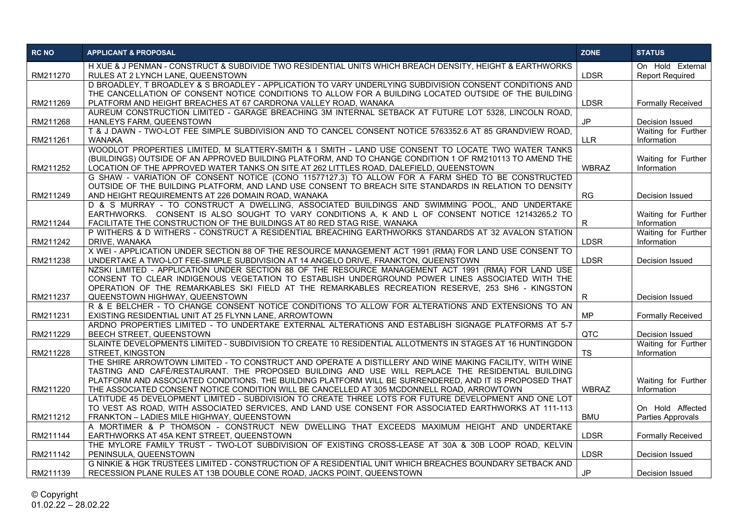| <b>RC NO</b> | <b>APPLICANT &amp; PROPOSAL</b>                                                                                                                              | <b>ZONE</b>   | <b>STATUS</b>            |
|--------------|--------------------------------------------------------------------------------------------------------------------------------------------------------------|---------------|--------------------------|
|              | H XUE & J PENMAN - CONSTRUCT & SUBDIVIDE TWO RESIDENTIAL UNITS WHICH BREACH DENSITY, HEIGHT & EARTHWORKS                                                     |               | On Hold External         |
| RM211270     | RULES AT 2 LYNCH LANE, QUEENSTOWN<br>D BROADLEY, T BROADLEY & S BROADLEY - APPLICATION TO VARY UNDERLYING SUBDIVISION CONSENT CONDITIONS AND                 | <b>LDSR</b>   | <b>Report Required</b>   |
|              | THE CANCELLATION OF CONSENT NOTICE CONDITIONS TO ALLOW FOR A BUILDING LOCATED OUTSIDE OF THE BUILDING                                                        |               |                          |
| RM211269     | PLATFORM AND HEIGHT BREACHES AT 67 CARDRONA VALLEY ROAD, WANAKA                                                                                              | <b>LDSR</b>   | <b>Formally Received</b> |
|              | AUREUM CONSTRUCTION LIMITED - GARAGE BREACHING 3M INTERNAL SETBACK AT FUTURE LOT 5328, LINCOLN ROAD.                                                         |               |                          |
| RM211268     | HANLEYS FARM, QUEENSTOWN                                                                                                                                     | <b>JP</b>     | Decision Issued          |
|              | T & J DAWN - TWO-LOT FEE SIMPLE SUBDIVISION AND TO CANCEL CONSENT NOTICE 5763352.6 AT 85 GRANDVIEW ROAD.                                                     |               | Waiting for Further      |
| RM211261     | <b>WANAKA</b>                                                                                                                                                | <b>LLR</b>    | Information              |
|              | WOODLOT PROPERTIES LIMITED, M SLATTERY-SMITH & I SMITH - LAND USE CONSENT TO LOCATE TWO WATER TANKS                                                          |               |                          |
|              | (BUILDINGS) OUTSIDE OF AN APPROVED BUILDING PLATFORM, AND TO CHANGE CONDITION 1 OF RM210113 TO AMEND THE                                                     |               | Waiting for Further      |
| RM211252     | LOCATION OF THE APPROVED WATER TANKS ON SITE AT 262 LITTLES ROAD, DALEFIELD, QUEENSTOWN                                                                      | <b>WBRAZ</b>  | Information              |
|              | G SHAW - VARIATION OF CONSENT NOTICE (CONO 11577127.3) TO ALLOW FOR A FARM SHED TO BE CONSTRUCTED                                                            |               |                          |
| RM211249     | OUTSIDE OF THE BUILDING PLATFORM, AND LAND USE CONSENT TO BREACH SITE STANDARDS IN RELATION TO DENSITY<br>AND HEIGHT REQUIREMENTS AT 226 DOMAIN ROAD, WANAKA | RG            | Decision Issued          |
|              | D & S MURRAY - TO CONSTRUCT A DWELLING, ASSOCIATED BUILDINGS AND SWIMMING POOL. AND UNDERTAKE                                                                |               |                          |
|              | EARTHWORKS. CONSENT IS ALSO SOUGHT TO VARY CONDITIONS A, K AND L OF CONSENT NOTICE 12143265.2 TO                                                             |               | Waiting for Further      |
| RM211244     | FACILITATE THE CONSTRUCTION OF THE BUILDINGS AT 80 RED STAG RISE, WANAKA                                                                                     | R             | Information              |
|              | P WITHERS & D WITHERS - CONSTRUCT A RESIDENTIAL BREACHING EARTHWORKS STANDARDS AT 32 AVALON STATION                                                          |               | Waiting for Further      |
| RM211242     | DRIVE, WANAKA                                                                                                                                                | <b>LDSR</b>   | Information              |
|              | X WEI - APPLICATION UNDER SECTION 88 OF THE RESOURCE MANAGEMENT ACT 1991 (RMA) FOR LAND USE CONSENT TO                                                       |               |                          |
| RM211238     | UNDERTAKE A TWO-LOT FEE-SIMPLE SUBDIVISION AT 14 ANGELO DRIVE, FRANKTON, QUEENSTOWN                                                                          | <b>LDSR</b>   | Decision Issued          |
|              | NZSKI LIMITED - APPLICATION UNDER SECTION 88 OF THE RESOURCE MANAGEMENT ACT 1991 (RMA) FOR LAND USE                                                          |               |                          |
|              | CONSENT TO CLEAR INDIGENOUS VEGETATION TO ESTABLISH UNDERGROUND POWER LINES ASSOCIATED WITH THE                                                              |               |                          |
|              | OPERATION OF THE REMARKABLES SKI FIELD AT THE REMARKABLES RECREATION RESERVE, 253 SH6 - KINGSTON                                                             |               |                          |
| RM211237     | QUEENSTOWN HIGHWAY, QUEENSTOWN                                                                                                                               | R             | Decision Issued          |
| RM211231     | R & E BELCHER - TO CHANGE CONSENT NOTICE CONDITIONS TO ALLOW FOR ALTERATIONS AND EXTENSIONS TO AN<br>EXISTING RESIDENTIAL UNIT AT 25 FLYNN LANE, ARROWTOWN   | <b>MP</b>     | <b>Formally Received</b> |
|              | ARDNO PROPERTIES LIMITED - TO UNDERTAKE EXTERNAL ALTERATIONS AND ESTABLISH SIGNAGE PLATFORMS AT 5-7                                                          |               |                          |
| RM211229     | BEECH STREET, QUEENSTOWN                                                                                                                                     | <b>QTC</b>    | Decision Issued          |
|              | SLAINTE DEVELOPMENTS LIMITED - SUBDIVISION TO CREATE 10 RESIDENTIAL ALLOTMENTS IN STAGES AT 16 HUNTINGDON                                                    |               | Waiting for Further      |
| RM211228     | STREET, KINGSTON                                                                                                                                             | <b>TS</b>     | Information              |
|              | THE SHIRE ARROWTOWN LIMITED - TO CONSTRUCT AND OPERATE A DISTILLERY AND WINE MAKING FACILITY, WITH WINE                                                      |               |                          |
|              | TASTING AND CAFÉ/RESTAURANT. THE PROPOSED BUILDING AND USE WILL REPLACE THE RESIDENTIAL BUILDING                                                             |               |                          |
|              | PLATFORM AND ASSOCIATED CONDITIONS. THE BUILDING PLATFORM WILL BE SURRENDERED, AND IT IS PROPOSED THAT                                                       |               | Waiting for Further      |
| RM211220     | THE ASSOCIATED CONSENT NOTICE CONDITION WILL BE CANCELLED AT 305 MCDONNELL ROAD, ARROWTOWN                                                                   | <b>WBRAZ</b>  | Information              |
|              | LATITUDE 45 DEVELOPMENT LIMITED - SUBDIVISION TO CREATE THREE LOTS FOR FUTURE DEVELOPMENT AND ONE LOT                                                        |               |                          |
|              | TO VEST AS ROAD, WITH ASSOCIATED SERVICES, AND LAND USE CONSENT FOR ASSOCIATED EARTHWORKS AT 111-113                                                         |               | On Hold Affected         |
| RM211212     | FRANKTON - LADIES MILE HIGHWAY, QUEENSTOWN<br>A MORTIMER & P THOMSON - CONSTRUCT NEW DWELLING THAT EXCEEDS MAXIMUM HEIGHT AND UNDERTAKE                      | <b>BMU</b>    | Parties Approvals        |
| RM211144     | EARTHWORKS AT 45A KENT STREET, QUEENSTOWN                                                                                                                    | <b>LDSR</b>   | <b>Formally Received</b> |
|              | THE MYLORE FAMILY TRUST - TWO-LOT SUBDIVISION OF EXISTING CROSS-LEASE AT 30A & 30B LOOP ROAD, KELVIN                                                         |               |                          |
| RM211142     | PENINSULA, QUEENSTOWN                                                                                                                                        | <b>LDSR</b>   | Decision Issued          |
|              | G NINKIE & HGK TRUSTEES LIMITED - CONSTRUCTION OF A RESIDENTIAL UNIT WHICH BREACHES BOUNDARY SETBACK AND                                                     |               |                          |
| RM211139     | RECESSION PLANE RULES AT 13B DOUBLE CONE ROAD, JACKS POINT, QUEENSTOWN                                                                                       | $\mathsf{JP}$ | Decision Issued          |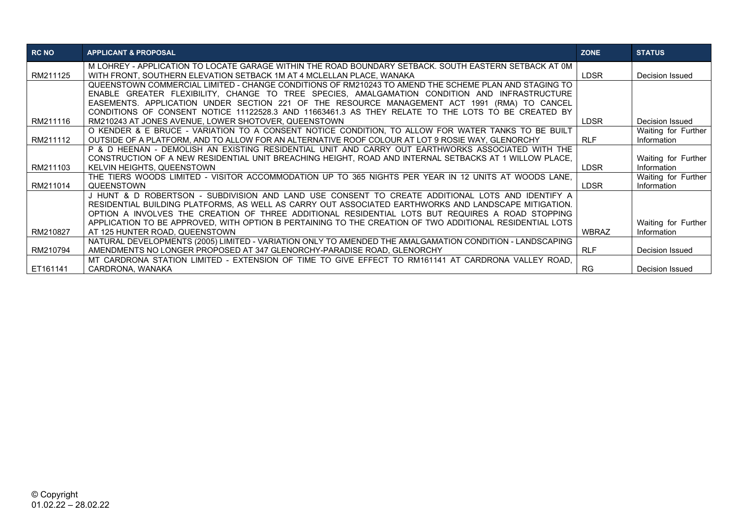| <b>RC NO</b> | <b>APPLICANT &amp; PROPOSAL</b>                                                                          | <b>ZONE</b>  | <b>STATUS</b>       |
|--------------|----------------------------------------------------------------------------------------------------------|--------------|---------------------|
|              | M LOHREY - APPLICATION TO LOCATE GARAGE WITHIN THE ROAD BOUNDARY SETBACK. SOUTH EASTERN SETBACK AT 0M    |              |                     |
| RM211125     | WITH FRONT, SOUTHERN ELEVATION SETBACK 1M AT 4 MCLELLAN PLACE, WANAKA                                    | <b>LDSR</b>  | Decision Issued     |
|              | QUEENSTOWN COMMERCIAL LIMITED - CHANGE CONDITIONS OF RM210243 TO AMEND THE SCHEME PLAN AND STAGING TO    |              |                     |
|              | ENABLE GREATER FLEXIBILITY, CHANGE TO TREE SPECIES, AMALGAMATION CONDITION AND INFRASTRUCTURE            |              |                     |
|              | EASEMENTS. APPLICATION UNDER SECTION 221 OF THE RESOURCE MANAGEMENT ACT 1991 (RMA) TO CANCEL             |              |                     |
|              | CONDITIONS OF CONSENT NOTICE 11122528.3 AND 11663461.3 AS THEY RELATE TO THE LOTS TO BE CREATED BY       |              |                     |
| RM211116     | RM210243 AT JONES AVENUE, LOWER SHOTOVER, QUEENSTOWN                                                     | LDSR         | Decision Issued     |
|              | O KENDER & E BRUCE - VARIATION TO A CONSENT NOTICE CONDITION, TO ALLOW FOR WATER TANKS TO BE BUILT       |              | Waiting for Further |
| RM211112     | OUTSIDE OF A PLATFORM, AND TO ALLOW FOR AN ALTERNATIVE ROOF COLOUR AT LOT 9 ROSIE WAY, GLENORCHY         | <b>RLF</b>   | Information         |
|              | P & D HEENAN - DEMOLISH AN EXISTING RESIDENTIAL UNIT AND CARRY OUT EARTHWORKS ASSOCIATED WITH THE        |              |                     |
|              | CONSTRUCTION OF A NEW RESIDENTIAL UNIT BREACHING HEIGHT, ROAD AND INTERNAL SETBACKS AT 1 WILLOW PLACE,   |              | Waiting for Further |
| RM211103     | <b>KELVIN HEIGHTS, QUEENSTOWN</b>                                                                        | <b>LDSR</b>  | Information         |
|              | THE TIERS WOODS LIMITED - VISITOR ACCOMMODATION UP TO 365 NIGHTS PER YEAR IN 12 UNITS AT WOODS LANE,     |              | Waiting for Further |
| RM211014     | <b>QUEENSTOWN</b>                                                                                        | <b>LDSR</b>  | Information         |
|              | J HUNT & D ROBERTSON - SUBDIVISION AND LAND USE CONSENT TO CREATE ADDITIONAL LOTS AND IDENTIFY A         |              |                     |
|              | RESIDENTIAL BUILDING PLATFORMS, AS WELL AS CARRY OUT ASSOCIATED EARTHWORKS AND LANDSCAPE MITIGATION.     |              |                     |
|              | OPTION A INVOLVES THE CREATION OF THREE ADDITIONAL RESIDENTIAL LOTS BUT REQUIRES A ROAD STOPPING         |              |                     |
|              | APPLICATION TO BE APPROVED, WITH OPTION B PERTAINING TO THE CREATION OF TWO ADDITIONAL RESIDENTIAL LOTS  |              | Waiting for Further |
| RM210827     | AT 125 HUNTER ROAD, QUEENSTOWN                                                                           | <b>WBRAZ</b> | Information         |
|              | NATURAL DEVELOPMENTS (2005) LIMITED - VARIATION ONLY TO AMENDED THE AMALGAMATION CONDITION - LANDSCAPING |              |                     |
| RM210794     | AMENDMENTS NO LONGER PROPOSED AT 347 GLENORCHY-PARADISE ROAD, GLENORCHY                                  | <b>RLF</b>   | Decision Issued     |
|              | MT CARDRONA STATION LIMITED - EXTENSION OF TIME TO GIVE EFFECT TO RM161141 AT CARDRONA VALLEY ROAD.      |              |                     |
| ET161141     | CARDRONA, WANAKA                                                                                         | <b>RG</b>    | Decision Issued     |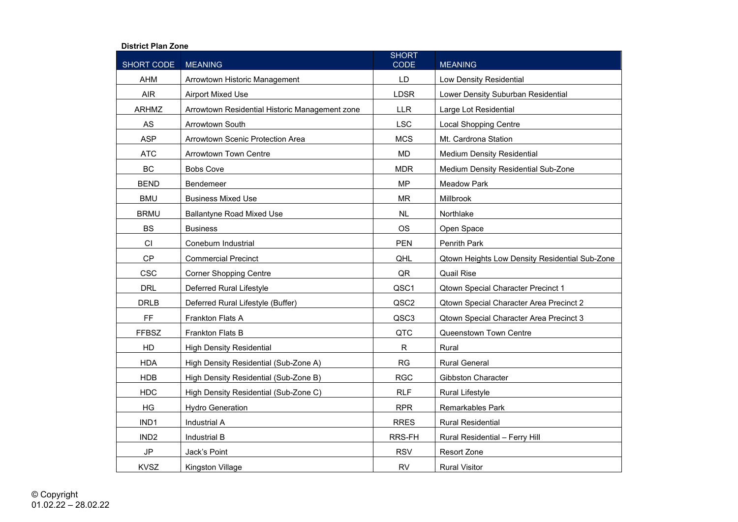## **District Plan Zone**

| SHORT CODE       | <b>MEANING</b>                                 | <b>SHORT</b><br><b>CODE</b> | <b>MEANING</b>                                 |
|------------------|------------------------------------------------|-----------------------------|------------------------------------------------|
| <b>AHM</b>       | Arrowtown Historic Management                  | LD                          | Low Density Residential                        |
| <b>AIR</b>       | <b>Airport Mixed Use</b>                       | <b>LDSR</b>                 | Lower Density Suburban Residential             |
| <b>ARHMZ</b>     | Arrowtown Residential Historic Management zone | <b>LLR</b>                  | Large Lot Residential                          |
| AS               | <b>Arrowtown South</b>                         | <b>LSC</b>                  | <b>Local Shopping Centre</b>                   |
| <b>ASP</b>       | Arrowtown Scenic Protection Area               | <b>MCS</b>                  | Mt. Cardrona Station                           |
| <b>ATC</b>       | <b>Arrowtown Town Centre</b>                   | <b>MD</b>                   | <b>Medium Density Residential</b>              |
| <b>BC</b>        | <b>Bobs Cove</b>                               | <b>MDR</b>                  | Medium Density Residential Sub-Zone            |
| <b>BEND</b>      | Bendemeer                                      | <b>MP</b>                   | <b>Meadow Park</b>                             |
| <b>BMU</b>       | <b>Business Mixed Use</b>                      | <b>MR</b>                   | Millbrook                                      |
| <b>BRMU</b>      | <b>Ballantyne Road Mixed Use</b>               | <b>NL</b>                   | Northlake                                      |
| <b>BS</b>        | <b>Business</b>                                | <b>OS</b>                   | Open Space                                     |
| CI               | Coneburn Industrial                            | <b>PEN</b>                  | Penrith Park                                   |
| <b>CP</b>        | <b>Commercial Precinct</b>                     | QHL                         | Qtown Heights Low Density Residential Sub-Zone |
| <b>CSC</b>       | <b>Corner Shopping Centre</b>                  | QR                          | <b>Quail Rise</b>                              |
| <b>DRL</b>       | Deferred Rural Lifestyle                       | QSC1                        | <b>Qtown Special Character Precinct 1</b>      |
| <b>DRLB</b>      | Deferred Rural Lifestyle (Buffer)              | QSC2                        | Qtown Special Character Area Precinct 2        |
| FF               | Frankton Flats A                               | QSC3                        | Qtown Special Character Area Precinct 3        |
| <b>FFBSZ</b>     | <b>Frankton Flats B</b>                        | QTC                         | Queenstown Town Centre                         |
| HD               | <b>High Density Residential</b>                | $\mathsf{R}$                | Rural                                          |
| <b>HDA</b>       | High Density Residential (Sub-Zone A)          | <b>RG</b>                   | <b>Rural General</b>                           |
| <b>HDB</b>       | High Density Residential (Sub-Zone B)          | <b>RGC</b>                  | <b>Gibbston Character</b>                      |
| <b>HDC</b>       | High Density Residential (Sub-Zone C)          | <b>RLF</b>                  | <b>Rural Lifestyle</b>                         |
| HG               | <b>Hydro Generation</b>                        | <b>RPR</b>                  | <b>Remarkables Park</b>                        |
| IND1             | <b>Industrial A</b>                            | <b>RRES</b>                 | <b>Rural Residential</b>                       |
| IND <sub>2</sub> | Industrial B                                   | RRS-FH                      | Rural Residential - Ferry Hill                 |
| $\mathsf{JP}$    | Jack's Point                                   | <b>RSV</b>                  | Resort Zone                                    |
| <b>KVSZ</b>      | Kingston Village                               | <b>RV</b>                   | <b>Rural Visitor</b>                           |